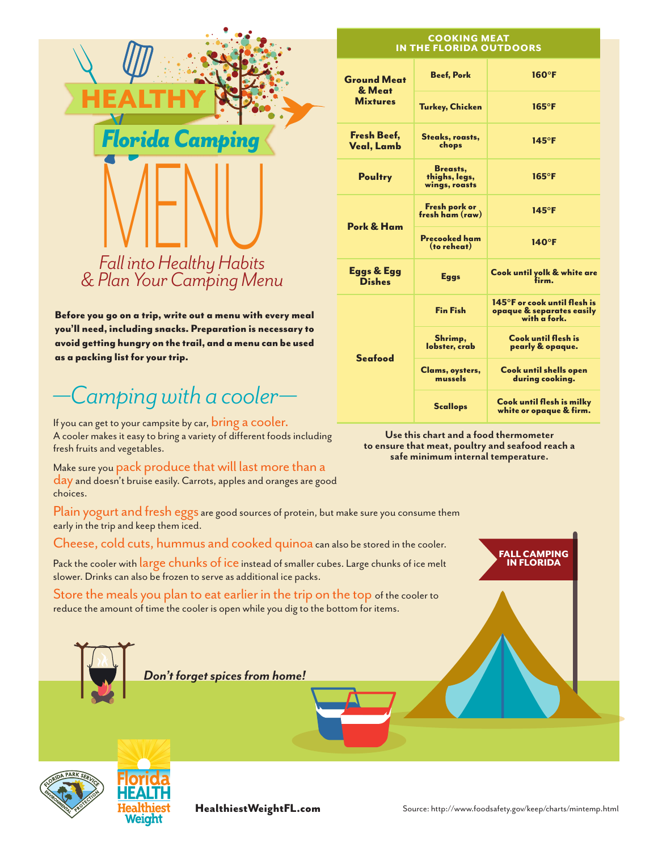

Before you go on a trip, write out a menu with every meal you'll need, including snacks. Preparation is necessary to avoid getting hungry on the trail, and a menu can be used as a packing list for your trip.

*—Camping with a cooler—* If you can get to your campsite by car, bring a cooler. A cooler makes it easy to bring a variety of different foods including fresh fruits and vegetables.

Make sure you pack produce that will last more than a<br>day and doesn't bruise easily. Carrots, apples and oranges are good choices.

Plain yogurt and fresh eggs are good sources of protein, but make sure you consume them early in the trip and keep them iced.

Cheese, cold cuts, hummus and cooked quinoacan also be stored in the cooler.

Pack the cooler with large chunks of ice instead of smaller cubes. Large chunks of ice melt slower. Drinks can also be frozen to serve as additional ice packs.

Store the meals you plan to eat earlier in the trip on the top of the cooler to reduce the amount of time the cooler is open while you dig to the bottom for items.

|                        |                                         | Turke                |
|------------------------|-----------------------------------------|----------------------|
| <b>Florida Camping</b> | <b>Fresh Beef,</b><br><b>Veal, Lamb</b> | <b>Steal</b>         |
|                        | <b>Poultry</b>                          | اB<br>thig<br>wing   |
|                        |                                         | <b>Fres</b><br>fresh |
|                        | Pork & Ham                              | Proco                |

### COOKING MEAT IN THE FLORIDA OUTDOORS

| <b>Ground Meat</b><br>& Meat<br><b>Mixtures</b> | <b>Beef, Pork</b>                          | $160^\circ F$                                                                     |
|-------------------------------------------------|--------------------------------------------|-----------------------------------------------------------------------------------|
|                                                 | Turkey, Chicken                            | $165^{\circ}$ F                                                                   |
| Fresh Beef,<br>Veal, Lamb                       | Steaks, roasts,<br>chops                   | $145^{\circ}$ F                                                                   |
| <b>Poultry</b>                                  | Breasts,<br>thighs, legs,<br>wings, roasts | $165^{\circ}$ F                                                                   |
| Pork & Ham                                      | Fresh pork or<br>fresh ham (raw)           | $145^{\circ}$ F                                                                   |
|                                                 | <b>Precooked ham</b><br>(to reheat)        | $140^\circ F$                                                                     |
| Eggs & Egg<br><b>Dishes</b>                     | <b>Eggs</b>                                | Cook until yolk & white are<br>firm.                                              |
| <b>Seafood</b>                                  | <b>Fin Fish</b>                            | $145^\circ$ F or cook until flesh is<br>opaque & separates easily<br>with a fork. |
|                                                 | Shrimp,<br>lobster, crab                   | Cook until flesh is<br>pearly & opaque.                                           |
|                                                 | Clams, oysters,<br>mussels                 | Cook until shells open<br>during cooking.                                         |
|                                                 | <b>Scallops</b>                            | Cook until flesh is milky<br>white or opaque & firm.                              |

**Use this chart and a food thermometer to ensure that meat, poultry and seafood reach a safe minimum internal temperature.**





FALL CAMPING IN FLORIDA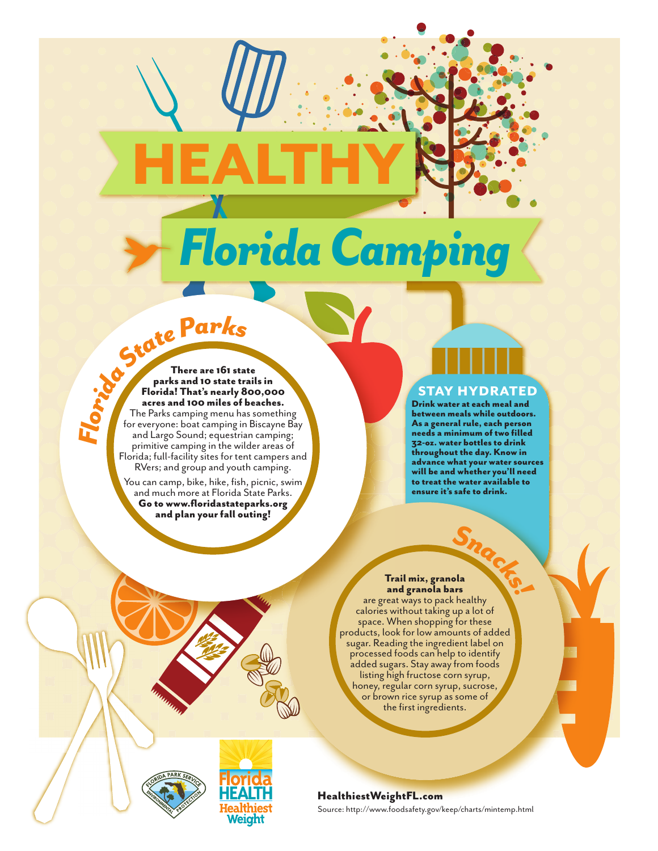# *Florida Camping*

HEALTHY

**F***F***<b>loopter 2 <b>F**<br>**Florida! That's nearly 8<br><b>FIGITER 2**<br>**FIGITER 2**<br>**FIGITER 2**<br>**FIGITER 2**<br>**FIGITER 2**<br>**FIGITER 2**<br>**FIGITER 2**<br>**FIGITER 2**<br>**FIGITER 2**<br>**FIGITER 2**<br>**FIGITER 2**<br>**FIGITER 2**<br>**FIGITER 2**<br>**FIGITER 2**<br>**F** There are 161 state parks and 10 state trails in Florida! That's nearly 800,000 acres and 100 miles of beaches. The Parks camping menu has something

for everyone: boat camping in Biscayne Bay and Largo Sound; equestrian camping; primitive camping in the wilder areas of Florida; full-facility sites for tent campers and RVers; and group and youth camping.

You can camp, bike, hike, fish, picnic, swim $\overline{\phantom{a}}$ and much more at Florida State Parks. Go to www.floridastateparks.org and plan your fall outing!

# STAY HYDRATED

Drink water at each meal and between meals while outdoors. As a general rule, each person needs a minimum of two filled 32-oz. water bottles to drink throughout the day. Know in advance what your water sources will be and whether you'll need to treat the water available to ensure it's safe to drink.

*<sup>S</sup><sup>n</sup>a<sup>c</sup>k<sup>s</sup>!* Trail mix, granola and granola bars

are great ways to pack healthy calories without taking up a lot of space. When shopping for these products, look for low amounts of added sugar. Reading the ingredient label on processed foods can help to identify added sugars. Stay away from foods listing high fructose corn syrup, honey, regular corn syrup, sucrose, or brown rice syrup as some of the first ingredients.



Weight

Source: http://www.foodsafety.gov/keep/charts/mintemp.html HealthiestWeightFL.com